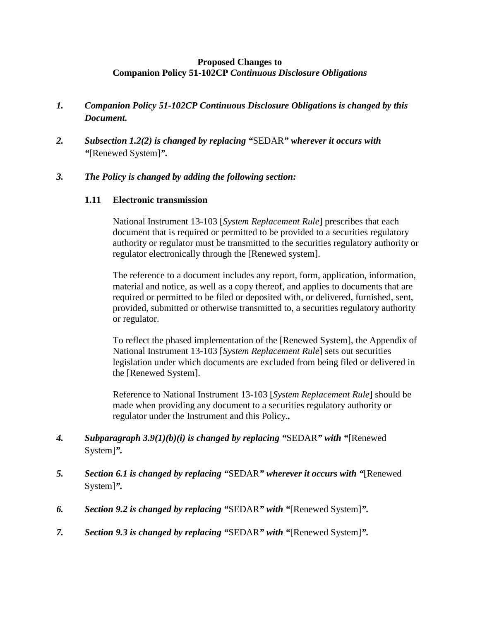## **Proposed Changes to Companion Policy 51-102CP** *Continuous Disclosure Obligations*

- *1. Companion Policy 51-102CP Continuous Disclosure Obligations is changed by this Document.*
- *2. Subsection 1.2(2) is changed by replacing "*SEDAR*" wherever it occurs with "*[Renewed System]*".*

## *3. The Policy is changed by adding the following section:*

## **1.11 Electronic transmission**

National Instrument 13-103 [*System Replacement Rule*] prescribes that each document that is required or permitted to be provided to a securities regulatory authority or regulator must be transmitted to the securities regulatory authority or regulator electronically through the [Renewed system].

The reference to a document includes any report, form, application, information, material and notice, as well as a copy thereof, and applies to documents that are required or permitted to be filed or deposited with, or delivered, furnished, sent, provided, submitted or otherwise transmitted to, a securities regulatory authority or regulator.

To reflect the phased implementation of the [Renewed System], the Appendix of National Instrument 13-103 [*System Replacement Rule*] sets out securities legislation under which documents are excluded from being filed or delivered in the [Renewed System].

Reference to National Instrument 13-103 [*System Replacement Rule*] should be made when providing any document to a securities regulatory authority or regulator under the Instrument and this Policy.*.*

- *4. Subparagraph 3.9(1)(b)(i) is changed by replacing "*SEDAR*" with "*[Renewed System]*".*
- *5. Section 6.1 is changed by replacing "*SEDAR*" wherever it occurs with "*[Renewed System]*".*
- *6. Section 9.2 is changed by replacing "*SEDAR*" with "*[Renewed System]*".*
- *7. Section 9.3 is changed by replacing "*SEDAR*" with "*[Renewed System]*".*